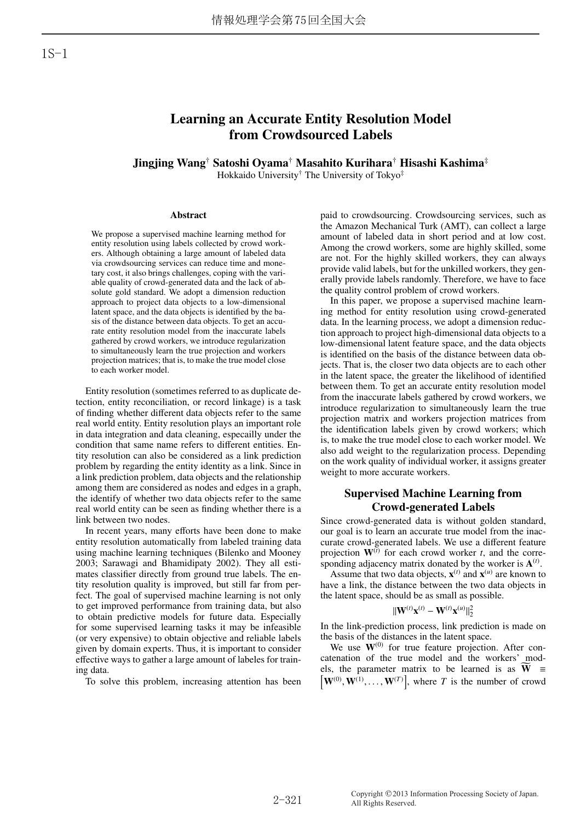# Learning an Accurate Entity Resolution Model from Crowdsourced Labels

Jingjing Wang† Satoshi Oyama† Masahito Kurihara† Hisashi Kashima‡ Hokkaido University† The University of Tokyo‡

#### Abstract

We propose a supervised machine learning method for entity resolution using labels collected by crowd workers. Although obtaining a large amount of labeled data via crowdsourcing services can reduce time and monetary cost, it also brings challenges, coping with the variable quality of crowd-generated data and the lack of absolute gold standard. We adopt a dimension reduction approach to project data objects to a low-dimensional latent space, and the data objects is identified by the basis of the distance between data objects. To get an accurate entity resolution model from the inaccurate labels gathered by crowd workers, we introduce regularization to simultaneously learn the true projection and workers projection matrices; that is, to make the true model close to each worker model.

Entity resolution (sometimes referred to as duplicate detection, entity reconciliation, or record linkage) is a task of finding whether different data objects refer to the same real world entity. Entity resolution plays an important role in data integration and data cleaning, especailly under the condition that same name refers to different entities. Entity resolution can also be considered as a link prediction problem by regarding the entity identity as a link. Since in a link prediction problem, data objects and the relationship among them are considered as nodes and edges in a graph, the identify of whether two data objects refer to the same real world entity can be seen as finding whether there is a link between two nodes.

In recent years, many efforts have been done to make entity resolution automatically from labeled training data using machine learning techniques (Bilenko and Mooney 2003; Sarawagi and Bhamidipaty 2002). They all estimates classifier directly from ground true labels. The entity resolution quality is improved, but still far from perfect. The goal of supervised machine learning is not only to get improved performance from training data, but also to obtain predictive models for future data. Especially for some supervised learning tasks it may be infeasible (or very expensive) to obtain objective and reliable labels given by domain experts. Thus, it is important to consider effective ways to gather a large amount of labeles for training data.

To solve this problem, increasing attention has been

paid to crowdsourcing. Crowdsourcing services, such as the Amazon Mechanical Turk (AMT), can collect a large amount of labeled data in short period and at low cost. Among the crowd workers, some are highly skilled, some are not. For the highly skilled workers, they can always provide valid labels, but for the unkilled workers, they generally provide labels randomly. Therefore, we have to face the quality control problem of crowd workers.

In this paper, we propose a supervised machine learning method for entity resolution using crowd-generated data. In the learning process, we adopt a dimension reduction approach to project high-dimensional data objects to a low-dimensional latent feature space, and the data objects is identified on the basis of the distance between data objects. That is, the closer two data objects are to each other in the latent space, the greater the likelihood of identified between them. To get an accurate entity resolution model from the inaccurate labels gathered by crowd workers, we introduce regularization to simultaneously learn the true projection matrix and workers projection matrices from the identification labels given by crowd workers; which is, to make the true model close to each worker model. We also add weight to the regularization process. Depending on the work quality of individual worker, it assigns greater weight to more accurate workers.

# Supervised Machine Learning from Crowd-generated Labels

Since crowd-generated data is without golden standard, our goal is to learn an accurate true model from the inaccurate crowd-generated labels. We use a different feature projection  $W^{(i)}$  for each crowd worker *t*, and the corresponding adjacency matrix donated by the worker is  $A<sup>(t)</sup>$ .

Assume that two data objects,  $\mathbf{x}^{(t)}$  and  $\mathbf{x}^{(u)}$  are known to have a link, the distance between the two data objects in the latent space, should be as small as possible.

$$
\|\mathbf{W}^{(t)}\mathbf{x}^{(t)}-\mathbf{W}^{(t)}\mathbf{x}^{(u)}\|_2^2
$$

In the link-prediction process, link prediction is made on the basis of the distances in the latent space.

We use  $W^{(0)}$  for true feature projection. After concatenation of the true model and the workers' models, the parameter matrix to be learned is as  $\widetilde{W}$  =  $W^{(0)}, W^{(1)}, \ldots, W^{(T)}$ , where *T* is the number of crowd